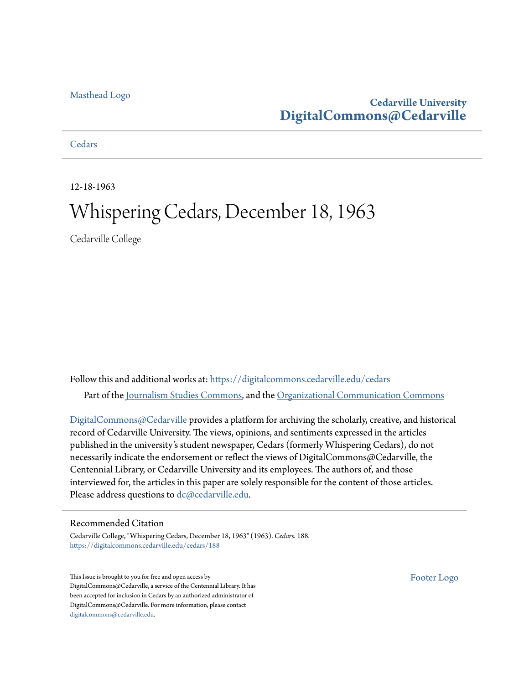#### [Masthead Logo](http://www.cedarville.edu/?utm_source=digitalcommons.cedarville.edu%2Fcedars%2F188&utm_medium=PDF&utm_campaign=PDFCoverPages)

### **Cedarville University [DigitalCommons@Cedarville](https://digitalcommons.cedarville.edu?utm_source=digitalcommons.cedarville.edu%2Fcedars%2F188&utm_medium=PDF&utm_campaign=PDFCoverPages)**

#### **[Cedars](https://digitalcommons.cedarville.edu/cedars?utm_source=digitalcommons.cedarville.edu%2Fcedars%2F188&utm_medium=PDF&utm_campaign=PDFCoverPages)**

12-18-1963

## Whispering Cedars, December 18, 1963

Cedarville College

Follow this and additional works at: [https://digitalcommons.cedarville.edu/cedars](https://digitalcommons.cedarville.edu/cedars?utm_source=digitalcommons.cedarville.edu%2Fcedars%2F188&utm_medium=PDF&utm_campaign=PDFCoverPages) Part of the [Journalism Studies Commons](http://network.bepress.com/hgg/discipline/333?utm_source=digitalcommons.cedarville.edu%2Fcedars%2F188&utm_medium=PDF&utm_campaign=PDFCoverPages), and the [Organizational Communication Commons](http://network.bepress.com/hgg/discipline/335?utm_source=digitalcommons.cedarville.edu%2Fcedars%2F188&utm_medium=PDF&utm_campaign=PDFCoverPages)

[DigitalCommons@Cedarville](http://digitalcommons.cedarville.edu/) provides a platform for archiving the scholarly, creative, and historical record of Cedarville University. The views, opinions, and sentiments expressed in the articles published in the university's student newspaper, Cedars (formerly Whispering Cedars), do not necessarily indicate the endorsement or reflect the views of DigitalCommons@Cedarville, the Centennial Library, or Cedarville University and its employees. The authors of, and those interviewed for, the articles in this paper are solely responsible for the content of those articles. Please address questions to [dc@cedarville.edu.](mailto:dc@cedarville.edu)

#### Recommended Citation

Cedarville College, "Whispering Cedars, December 18, 1963" (1963). *Cedars*. 188. [https://digitalcommons.cedarville.edu/cedars/188](https://digitalcommons.cedarville.edu/cedars/188?utm_source=digitalcommons.cedarville.edu%2Fcedars%2F188&utm_medium=PDF&utm_campaign=PDFCoverPages)

This Issue is brought to you for free and open access by DigitalCommons@Cedarville, a service of the Centennial Library. It has been accepted for inclusion in Cedars by an authorized administrator of DigitalCommons@Cedarville. For more information, please contact [digitalcommons@cedarville.edu](mailto:digitalcommons@cedarville.edu).

[Footer Logo](http://www.cedarville.edu/Academics/Library.aspx?utm_source=digitalcommons.cedarville.edu%2Fcedars%2F188&utm_medium=PDF&utm_campaign=PDFCoverPages)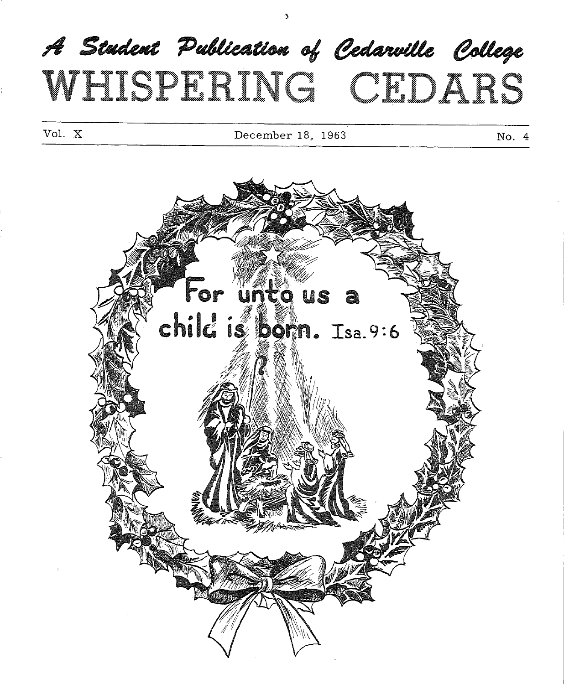# $\boldsymbol{\mathcal{A}}$  Student Publication of Cedarville College WETCHEN ING CEDARS

Vol. X December 18, 1963 No. 4

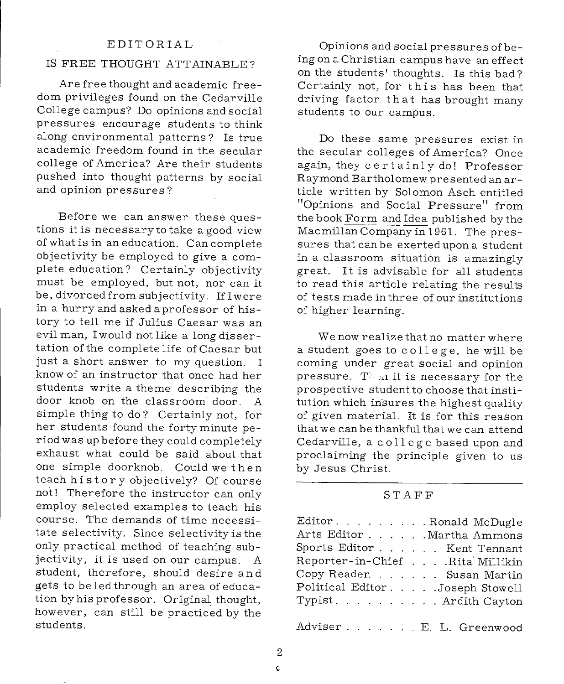#### EDITORIAL

#### IS FREE THOUGHT ATTAINABLE?

Are free thought and academic freedom privileges found on the Cedarville College campus? Do opinions and social pressures encourage students to think along environmental patterns? Is true academic freedom found in the secular college of America? Are their students pushed into thought patterns by social and opinion pressures?

Before we can answer these questions it is necessary to take a good view of what is in an education. Can complete objectivity be employed to give a com<sup>p</sup>lete education? Certainly objectivity must be employed, but not, nor can it be, divorced from subjectivity. If I were in a hurry and asked a professor of history to tell me if Julius Caesar was an evil man, I would not like a long dissertation of the complete life of Caesar but just a short answer to my question. <sup>I</sup> know of an instructor that once had her students write a theme describing the door knob on the classroom door. A simple thing to do? Certainly not, for her students found the forty minute period was up before they could completely exhaust what could be said about that one simple doorknob. Could we then teach history objectively? Of course not! Therefore the instructor can only employ selected examples to teach his course. The demands of time necessitate selectivity. Since selectivity is the only practical method of teaching subjectivity, it is used on our campus. <sup>A</sup> student, therefore, should desire and gets to be led through an area of education by his professor. Original thought, however, can still be practiced by the students.

Opinions and social pressures of being on a Christian campus have an effect on the students' thoughts. Is this bad? Certainly not, for this has been that driving factor that has brought many students to our campus.

Do these same pressures exist in the secular colleges of America? Once again, they certainly do! Professor Raymond Bartholomew presented an article written by Solomon Asch entitled "Opinions and Social Pressure" from the book Form and Idea published by the Macmillan Company in 1961. The pressures that can be exerted upon a student in a classroom situation is amazingly great. It is advisable for all students to read this article relating the results of tests made in three of our institutions of higher learning.

We now realize that no matter where a student goes to college, he will be coming under great social and opinion pressure. T> *.n.* it is necessary for the prospective student to choose that institution which insures the highest quality of given material. It is for this reason that we can be thankful that we can attend Cedarville, a college based upon and proclaiming the principle given to us by Jesus Christ.

#### STAFF

| EditorRonald McDugle             |  |
|----------------------------------|--|
| Arts Editor Martha Ammons        |  |
| Sports Editor Kent Tennant       |  |
| Reporter-in-Chief Rita Millikin  |  |
| Copy Reader. Susan Martin        |  |
| Political Editor. Joseph Stowell |  |
| Typist. Ardith Cayton            |  |
|                                  |  |

Adviser E. L. Greenwood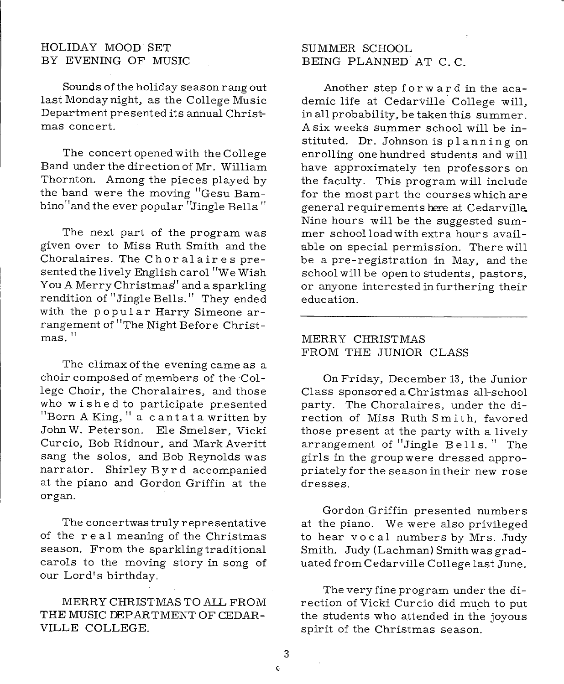#### HOLIDAY MOOD SET BY EVENING OF MUSIC

Sounds of the holiday season rang out last Monday night, as the College Music Department presented its annual Christmas concert.

The concert opened with the College Band under the direction of Mr. William Thornton. Among the pieces played by the band were the moving "Gesu Bambino" and the ever popular "Jingle Bells."

The next part of the program was given over to Miss Ruth Smith and the Choralaires. The Choralaires presented the lively English carol "we Wish You A Merry Christmas' and a sparkling rendition of "Jingle Bells." They ended with the popular Harry Simeone arrangement of <sup>11</sup>The Night Before Christmas. "

The climax of the evening came as <sup>a</sup> choir composed of members of the College Choir, the Choralaires, and those who wished to participate presented "Born A King," a cantata written by John W. Peterson. Ele Smelser, Vicki Curcio, Bob Ridnour, and Mark Averitt sang the solos, and Bob Reynolds was narrator. Shirley Byrd accompanied at the piano and Gordon Griffin at the organ.

The concertwas truly representative of the real meaning of the Christmas season. From the sparkling traditional carols to the moving story in song of our Lord's birthday.

MERRY CHRISTMAS TO AIL FROM THE MUSIC DEPARTMENT OF CEDAR-VILLE COLLEGE.

#### SUMMER SCHOOL BEING PLANNED AT C. C.

Another step forward in the academic life at Cedarville College will, in all probability, be taken this summer. A six weeks summer school will be instituted. Dr. Johnson is planning on enrolling one hundred students and will have approximately ten professors on the faculty. This program will include for the most part the courses which are general requirements here at Cedarville.. Nine hours will be the suggested summer school load with extra hours avail- 'able on special permission. There will be <sup>a</sup>pre-registration in May, and the school will be open to students, pastors, or anyone interested in furthering their education.

#### MERRY CHRISTMAS FROM THE JUNIOR CLASS

On Friday, December 13, the Junior Class sponsored a Christmas all-school party. The Choralaires, under the direction of Miss Ruth Smith, favored those present at the party with a lively arrangement of "Jingle Bells." The girls in the group were dressed appropriately for the season in their new rose dresses.

Gordon Griffin presented numbers at the piano. We were also privileged to hear vocal numbers by Mrs. Judy Smith. Judy (Lachman) Smith was graduated from Cedarville College last June.

The very fine program under the direction of Vicki Curcio did mu\_ch to put the students who attended in the joyous spirit of the Christmas season.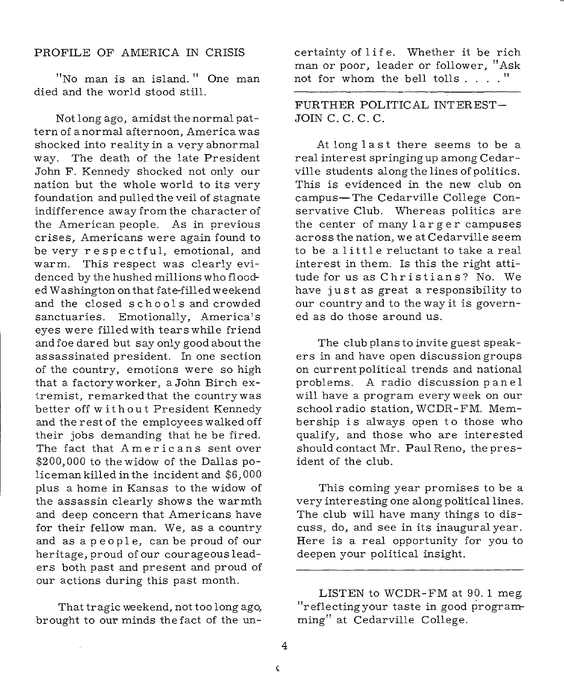#### PROFILE OF AMERICA IN CRISIS

"No man is an island. " One man died and the world stood still.

Not long ago, amidst the normal pattern of a normal afternoon, America was shocked into reality in a very abnormal way. The death of the late President John F. Kennedy shocked not only our nation but the whole world to its very foundation and pulled the veil of stagnate indifference away from the character of the American people. As in previous crises, Americans were again found to be very respectful, emotional, and warm. This respect was clearly evidenced by the hushed millions who flooded Washington on that fate-filled weekend and the closed schools and crowded sanctuaries. Emotionally, America's eyes were filled with tears while friend and foe dared but say only good about the assassinated president. In one section of the country, emotions were so high that a factoryworker, a John Birch extremist, remarked that the country was better off without President Kennedy and the rest of the employees walked off their jobs demanding that he be fired. The fact that Americans sent over \$200, 000 to the widow of the Dallas policeman killed in the incident and \$6,000 plus a home in Kansas to the widow of the assassin clearly shows the warmth and deep concern that Americans have for their fellow man. We, as a country and as a people, can be proud of our heritage, proud of our courageous leaders both past and present and proud of our actions during this past month.

That tragic weekend, not too long ago, brought to our minds the fact of the un-

certainty of life. Whether it be rich man or poor, leader or follower, "Ask not for whom the bell tolls .... "

FURTHER POLITICAL INTEREST-JOIN C. C. C. C.

At long last there seems to be a real interest springing up among Cedarville students along the lines of politics. This is evidenced in the new club on campus-The Cedarville College Conservative Club. Whereas politics are the center of many larger campuses across the nation, we at Cedarville seem to be a little reluctant to take a real interest in them. Is this the right attitude for us as Christians? No. We have just as great a responsibility to our country and to the way it is governed as do those around us.

The club plans to invite guest speakers in and have open discussion groups on current political trends and national problems. A radio discussion panel will have a program everyweek on our school radio station, WCDR-FM. Membership is always open to those who qualify, and those who are interested should contact Mr. Paul Reno, the president of the club.

This coming year promises to be <sup>a</sup> very interesting one along political lines. The club will have many things to discuss, do, and see in its inaugural year. Here is a real opportunity for you to deepen your political insight.

LISTEN to WCDR-FM at 90. 1 meg. "reflecting your taste in good programming" at Cedarville College.

¢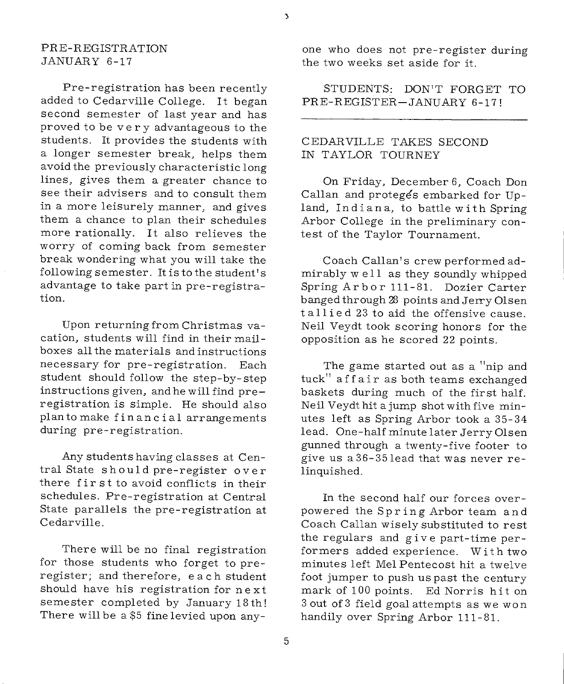#### PRE-REGISTRATION JANUARY 6-17

Pre-registration has been recently added to Cedarville College. It began second semester of last year and has proved to be very advantageous to the students. It provides the students with <sup>a</sup>longer semester break, helps them avoid the previously characteristic long lines, gives them a greater chance to see their advisers and to consult them in <sup>a</sup>more leisurely manner, and gives them a chance to plan their schedules more rationally. It also relieves the worry of coming back from semester break wondering what you will take the following semester. It is to the student's advantage to take part in pre-registration.

Upon returning from Christmas vacation, students will find in their mailboxes all the materials and instructions necessary for pre-registration. Each student should follow the step-by-step instructions given, and he will find preregistration is simple. He should also <sup>p</sup>lan to make financial arrangements during pre-registration.

Any students having classes at Central State should pre-register over there fir st to avoid conflicts in their schedules. Pre-registration at Central State parallels the pre-registration at Cedarville.

There will be no final registration for those students who forget to preregister; and therefore, each student should have his registration for next semester completed by January 18th! There will be a \$5 fine levied upon anyone who does not pre-register during the two weeks set aside for it.

STUDENTS: DON'T FORGET TO PRE-REGISTER-JANUARY 6-17 !

#### CEDARVILLE TAKES SECOND IN TAYLOR TOURNEY

On Friday, December 6, Coach Don Callan and proteges embarked for Upland, Indiana, to battle with Spring Arbor College in the preliminary contest of the Taylor Tournament.

Coach Callan's crew performed admirably w e 11 as they soundly whipped Spring Arbor 111-81. Dozier Carter banged through 2B points and Jerry Olsen tallied 23 to aid the offensive cause. Neil Veydt took scoring honors for the opposition as he scored 22 points.

The game started out as a "nip and tuck" affair as both teams exchanged baskets during much of the first half. Neil Veydt hit a jump shot with five minutes left as Spring Arbor took a 35-34 lead. One-half minute later Jerry Olsen gunned through a twenty-five footer to give us a36-35lead that was never relinquished.

In the second half our forces overpowered the Spring Arbor team and Coach Callan wisely substituted to rest the regulars and give part-time performers added experience. With two minutes left Mel Pentecost hit a twelve foot jumper to push us past the century mark of 100 points. Ed Norris hit on 3 out of 3 field goal attempts as we won handily over Spring Arbor 111-81.